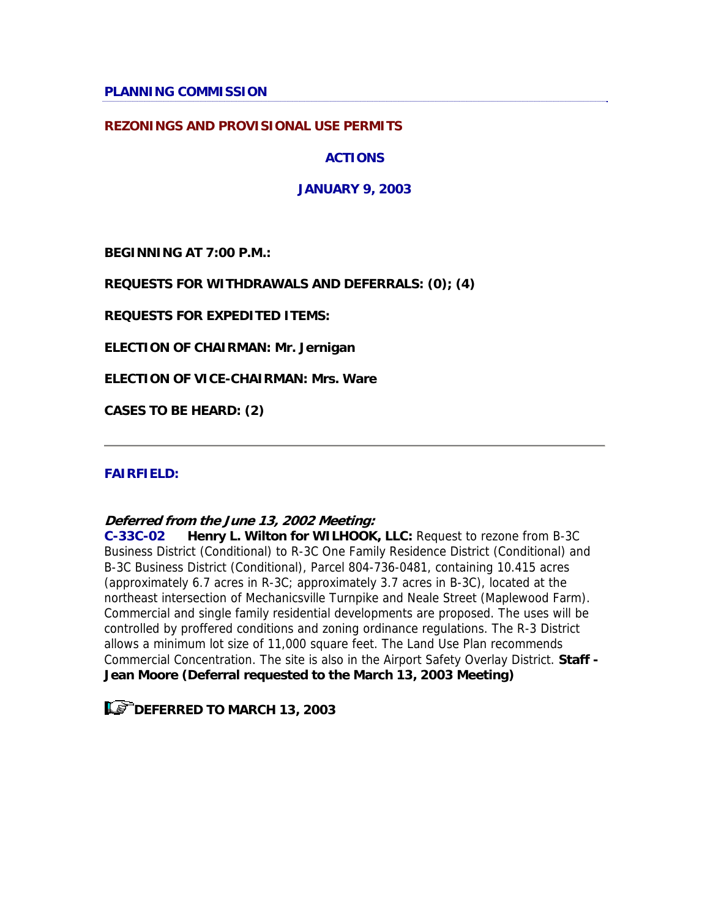**PLANNING COMMISSION** 

### **REZONINGS AND PROVISIONAL USE PERMITS**

**ACTIONS**

**JANUARY 9, 2003**

**BEGINNING AT 7:00 P.M.:** 

**REQUESTS FOR WITHDRAWALS AND DEFERRALS: (0); (4)**

**REQUESTS FOR EXPEDITED ITEMS:** 

**ELECTION OF CHAIRMAN: Mr. Jernigan**

**ELECTION OF VICE-CHAIRMAN: Mrs. Ware**

**CASES TO BE HEARD: (2)**

### **FAIRFIELD:**

### **Deferred from the June 13, 2002 Meeting:**

**C-33C-02 Henry L. Wilton for WILHOOK, LLC:** Request to rezone from B-3C Business District (Conditional) to R-3C One Family Residence District (Conditional) and B-3C Business District (Conditional), Parcel 804-736-0481, containing 10.415 acres (approximately 6.7 acres in R-3C; approximately 3.7 acres in B-3C), located at the northeast intersection of Mechanicsville Turnpike and Neale Street (Maplewood Farm). Commercial and single family residential developments are proposed. The uses will be controlled by proffered conditions and zoning ordinance regulations. The R-3 District allows a minimum lot size of 11,000 square feet. The Land Use Plan recommends Commercial Concentration. The site is also in the Airport Safety Overlay District. **Staff - Jean Moore (Deferral requested to the March 13, 2003 Meeting)**

**LET DEFERRED TO MARCH 13, 2003**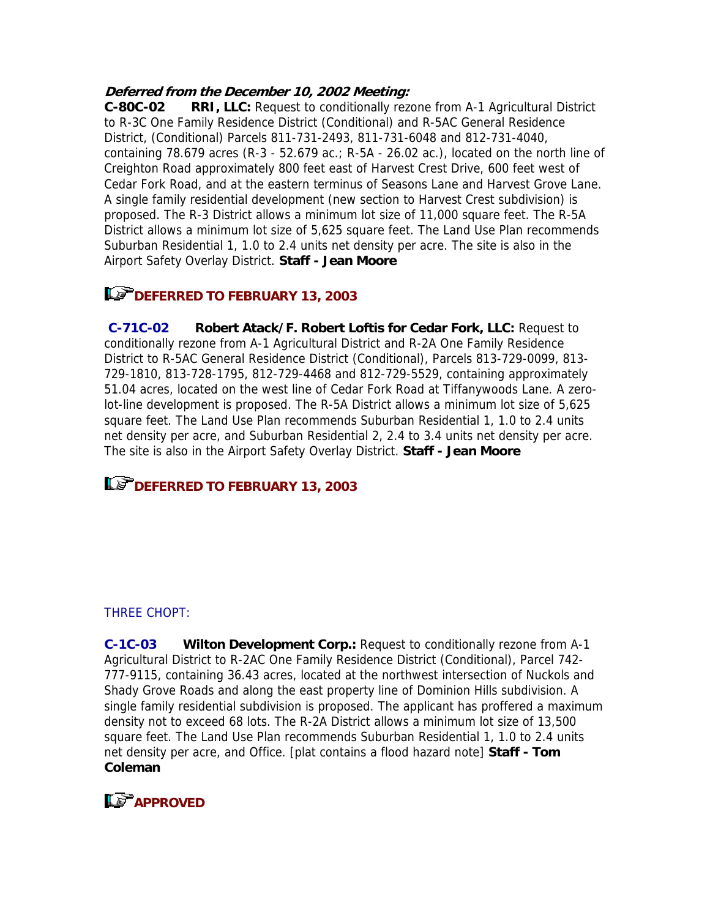# **Deferred from the December 10, 2002 Meeting:**

**C-80C-02 RRI, LLC:** Request to conditionally rezone from A-1 Agricultural District to R-3C One Family Residence District (Conditional) and R-5AC General Residence District, (Conditional) Parcels 811-731-2493, 811-731-6048 and 812-731-4040, containing 78.679 acres (R-3 - 52.679 ac.; R-5A - 26.02 ac.), located on the north line of Creighton Road approximately 800 feet east of Harvest Crest Drive, 600 feet west of Cedar Fork Road, and at the eastern terminus of Seasons Lane and Harvest Grove Lane. A single family residential development (new section to Harvest Crest subdivision) is proposed. The R-3 District allows a minimum lot size of 11,000 square feet. The R-5A District allows a minimum lot size of 5,625 square feet. The Land Use Plan recommends Suburban Residential 1, 1.0 to 2.4 units net density per acre. The site is also in the Airport Safety Overlay District. **Staff - Jean Moore**

# **DEFERRED TO FEBRUARY 13, 2003**

**C-71C-02 Robert Atack/F. Robert Loftis for Cedar Fork, LLC:** Request to conditionally rezone from A-1 Agricultural District and R-2A One Family Residence District to R-5AC General Residence District (Conditional), Parcels 813-729-0099, 813- 729-1810, 813-728-1795, 812-729-4468 and 812-729-5529, containing approximately 51.04 acres, located on the west line of Cedar Fork Road at Tiffanywoods Lane. A zerolot-line development is proposed. The R-5A District allows a minimum lot size of 5,625 square feet. The Land Use Plan recommends Suburban Residential 1, 1.0 to 2.4 units net density per acre, and Suburban Residential 2, 2.4 to 3.4 units net density per acre. The site is also in the Airport Safety Overlay District. **Staff - Jean Moore**

# **DEFERRED TO FEBRUARY 13, 2003**

# THREE CHOPT:

**C-1C-03 Wilton Development Corp.:** Request to conditionally rezone from A-1 Agricultural District to R-2AC One Family Residence District (Conditional), Parcel 742- 777-9115, containing 36.43 acres, located at the northwest intersection of Nuckols and Shady Grove Roads and along the east property line of Dominion Hills subdivision. A single family residential subdivision is proposed. The applicant has proffered a maximum density not to exceed 68 lots. The R-2A District allows a minimum lot size of 13,500 square feet. The Land Use Plan recommends Suburban Residential 1, 1.0 to 2.4 units net density per acre, and Office. [plat contains a flood hazard note] **Staff - Tom Coleman**

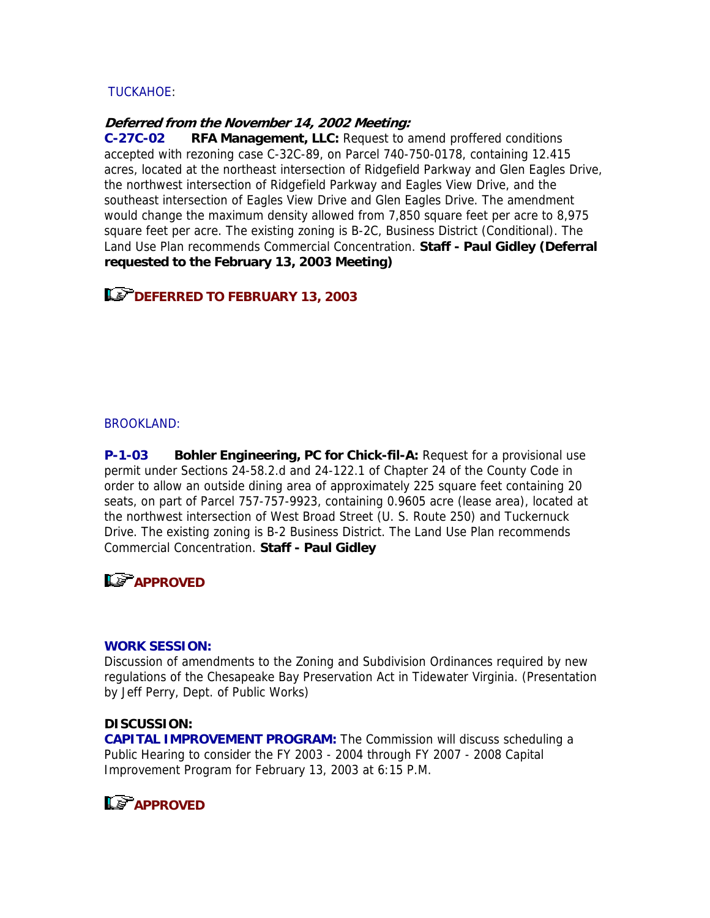## TUCKAHOE:

### **Deferred from the November 14, 2002 Meeting:**

**C-27C-02 RFA Management, LLC:** Request to amend proffered conditions accepted with rezoning case C-32C-89, on Parcel 740-750-0178, containing 12.415 acres, located at the northeast intersection of Ridgefield Parkway and Glen Eagles Drive, the northwest intersection of Ridgefield Parkway and Eagles View Drive, and the southeast intersection of Eagles View Drive and Glen Eagles Drive. The amendment would change the maximum density allowed from 7,850 square feet per acre to 8,975 square feet per acre. The existing zoning is B-2C, Business District (Conditional). The Land Use Plan recommends Commercial Concentration. **Staff - Paul Gidley (Deferral requested to the February 13, 2003 Meeting)**

**Le<sup>P</sup>DEFERRED TO FEBRUARY 13, 2003** 

#### **BROOKLAND:**

**P-1-03 Bohler Engineering, PC for Chick-fil-A:** Request for a provisional use permit under Sections 24-58.2.d and 24-122.1 of Chapter 24 of the County Code in order to allow an outside dining area of approximately 225 square feet containing 20 seats, on part of Parcel 757-757-9923, containing 0.9605 acre (lease area), located at the northwest intersection of West Broad Street (U. S. Route 250) and Tuckernuck Drive. The existing zoning is B-2 Business District. The Land Use Plan recommends Commercial Concentration. **Staff - Paul Gidley**

# **APPROVED**

### **WORK SESSION:**

Discussion of amendments to the Zoning and Subdivision Ordinances required by new regulations of the Chesapeake Bay Preservation Act in Tidewater Virginia. (Presentation by Jeff Perry, Dept. of Public Works)

### **DISCUSSION:**

**CAPITAL IMPROVEMENT PROGRAM:** The Commission will discuss scheduling a Public Hearing to consider the FY 2003 - 2004 through FY 2007 - 2008 Capital Improvement Program for February 13, 2003 at 6:15 P.M.